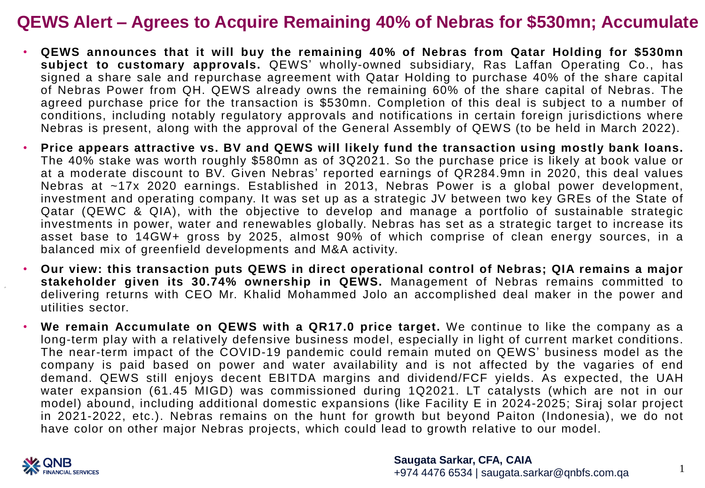## **QEWS Alert – Agrees to Acquire Remaining 40% of Nebras for \$530mn; Accumulate**

- **QEWS announces that it will buy the remaining 40% of Nebras from Qatar Holding for \$530mn subject to customary approvals.** QEWS' wholly-owned subsidiary, Ras Laffan Operating Co., has signed a share sale and repurchase agreement with Qatar Holding to purchase 40% of the share capital of Nebras Power from QH. QEWS already owns the remaining 60% of the share capital of Nebras. The agreed purchase price for the transaction is \$530mn. Completion of this deal is subject to a number of conditions, including notably regulatory approvals and notifications in certain foreign jurisdictions where Nebras is present, along with the approval of the General Assembly of QEWS (to be held in March 2022).
- **Price appears attractive vs. BV and QEWS will likely fund the transaction using mostly bank loans.** The 40% stake was worth roughly \$580mn as of 3Q2021. So the purchase price is likely at book value or at a moderate discount to BV. Given Nebras' reported earnings of QR284.9mn in 2020, this deal values Nebras at ~17x 2020 earnings. Established in 2013, Nebras Power is a global power development, investment and operating company. It was set up as a strategic JV between two key GREs of the State of Qatar (QEWC & QIA), with the objective to develop and manage a portfolio of sustainable strategic investments in power, water and renewables globally. Nebras has set as a strategic target to increase its asset base to 14GW+ gross by 2025, almost 90% of which comprise of clean energy sources, in a balanced mix of greenfield developments and M&A activity.
- **Our view: this transaction puts QEWS in direct operational control of Nebras; QIA remains a major stakeholder given its 30.74% ownership in QEWS.** Management of Nebras remains committed to delivering returns with CEO Mr. Khalid Mohammed Jolo an accomplished deal maker in the power and utilities sector.
- **We remain Accumulate on QEWS with a QR17.0 price target.** We continue to like the company as a long-term play with a relatively defensive business model, especially in light of current market conditions. The near-term impact of the COVID-19 pandemic could remain muted on QEWS' business model as the company is paid based on power and water availability and is not affected by the vagaries of end demand. QEWS still enjoys decent EBITDA margins and dividend/FCF yields. As expected, the UAH water expansion (61.45 MIGD) was commissioned during 1Q2021. LT catalysts (which are not in our model) abound, including additional domestic expansions (like Facility E in 2024-2025; Siraj solar project in 2021-2022, etc.). Nebras remains on the hunt for growth but beyond Paiton (Indonesia), we do not have color on other major Nebras projects, which could lead to growth relative to our model.



1